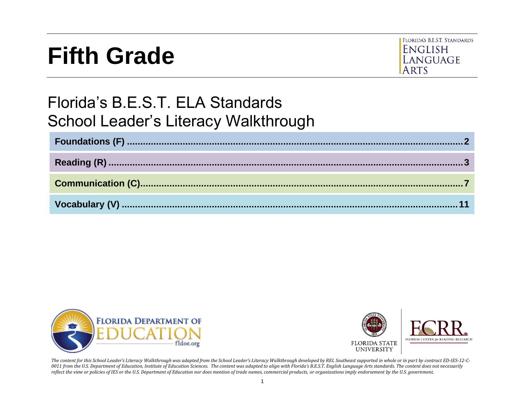# **Fifth Grade**



# Florida's B.E.S.T. ELA Standards School Leader's Literacy Walkthrough





*The content for this School Leader's Literacy Walkthrough was adapted from the School Leader's Literacy Walkthrough developed by REL Southeast supported in whole or in part by contract ED-IES-12-C-0011 from the U.S. Department of Education, Institute of Education Sciences. The content was adapted to align with Florida's B.E.S.T. English Language Arts standards. The content does not necessarily reflect the view or policies of IES or the U.S. Department of Education nor does mention of trade names, commercial products, or organizations imply endorsement by the U.S. government.*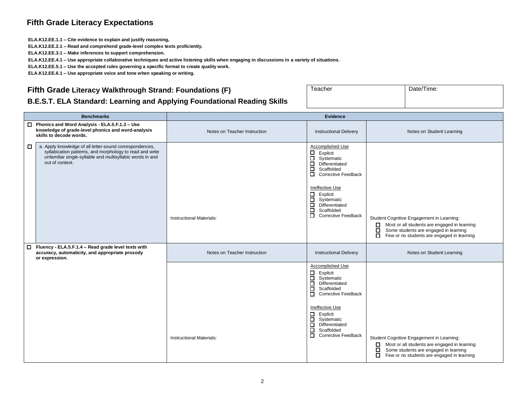#### **Fifth Grade Literacy Expectations**

**ELA.K12.EE.1.1 – Cite evidence to explain and justify reasoning,**

**ELA.K12.EE.2.1 – Read and comprehend grade-level complex texts proficiently.**

**ELA.K12.EE.3.1 – Make inferences to support comprehension.**

**ELA.K12.EE.4.1 – Use appropriate collaborative techniques and active listening skills when engaging in discussions in a variety of situations.**

**ELA.K12.EE.5.1 – Use the accepted rules governing a specific format to create quality work.**

**ELA.K12.EE.6.1 – Use appropriate voice and tone when speaking or writing.**

#### <span id="page-1-0"></span>**Fifth Grade Literacy Walkthrough Strand: Foundations (F)**

| Teacher | Date/Time: |  |
|---------|------------|--|
|         |            |  |

#### **B.E.S.T. ELA Standard: Learning and Applying Foundational Reading Skills**

| <b>Benchmarks</b>                                                                                                                                                                                        | <b>Evidence</b>                 |                                                                                                                                                                                                                                                                                                                 |                                                                                                                                                                                                           |
|----------------------------------------------------------------------------------------------------------------------------------------------------------------------------------------------------------|---------------------------------|-----------------------------------------------------------------------------------------------------------------------------------------------------------------------------------------------------------------------------------------------------------------------------------------------------------------|-----------------------------------------------------------------------------------------------------------------------------------------------------------------------------------------------------------|
| □ Phonics and Word Analysis - ELA.5.F.1.3 - Use<br>knowledge of grade-level phonics and word-analysis<br>skills to decode words.                                                                         | Notes on Teacher Instruction    | <b>Instructional Delivery</b>                                                                                                                                                                                                                                                                                   | Notes on Student Learning                                                                                                                                                                                 |
| a. Apply knowledge of all letter-sound correspondences,<br>□<br>syllabication patterns, and morphology to read and write<br>unfamiliar single-syllable and multisyllabic words in and<br>out of context. | <b>Instructional Materials:</b> | Accomplished Use<br>$\Box$<br>Explicit<br>$\Box$<br>Systematic<br>目<br>Differentiated<br>Scaffolded<br>$\Box$<br><b>Corrective Feedback</b><br>Ineffective Use<br>$\Box$ Explicit<br>ō<br>Systematic<br>Ē<br>Differentiated<br>Scaffolded<br>О.<br><b>Corrective Feedback</b>                                   | Student Cognitive Engagement in Learning:<br>Most or all students are engaged in learning<br>$\Box$<br>Some students are engaged in learning<br>□<br>Few or no students are engaged in learning<br>$\Box$ |
| $\Box$<br>Fluency - ELA.5.F.1.4 - Read grade level texts with<br>accuracy, automaticity, and appropriate prosody<br>or expression.                                                                       | Notes on Teacher Instruction    | <b>Instructional Delivery</b>                                                                                                                                                                                                                                                                                   | Notes on Student Learning                                                                                                                                                                                 |
|                                                                                                                                                                                                          | <b>Instructional Materials:</b> | <b>Accomplished Use</b><br>Explicit<br>$\Box$<br>ō<br>Systematic<br>$\Box$<br>Differentiated<br>□<br>Scaffolded<br>$\Box$<br><b>Corrective Feedback</b><br>Ineffective Use<br>$\Box$<br>Explicit<br>$\Box$<br>Systematic<br>$\Box$<br>Differentiated<br>□<br>Scaffolded<br>$\Box$<br><b>Corrective Feedback</b> | Student Cognitive Engagement in Learning:<br>Most or all students are engaged in learning<br>$\Box$<br>□<br>Some students are engaged in learning<br>□<br>Few or no students are engaged in learning      |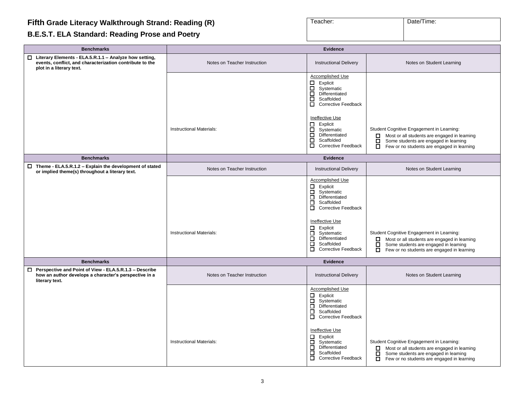#### <span id="page-2-0"></span>**Fifth Grade Literacy Walkthrough Strand: Reading (R)**

# **B.E.S.T. ELA Standard: Reading Prose and Poetry**

| Teacher: | Date/Time: |
|----------|------------|
|          |            |

| <b>Benchmarks</b>                                                                                                                                | <b>Evidence</b>                 |                                                                                                                                                               |                                                                                                                                                                                                   |
|--------------------------------------------------------------------------------------------------------------------------------------------------|---------------------------------|---------------------------------------------------------------------------------------------------------------------------------------------------------------|---------------------------------------------------------------------------------------------------------------------------------------------------------------------------------------------------|
| □ Literary Elements - ELA.5.R.1.1 - Analyze how setting,<br>events, conflict, and characterization contribute to the<br>plot in a literary text. | Notes on Teacher Instruction    | <b>Instructional Delivery</b>                                                                                                                                 | Notes on Student Learning                                                                                                                                                                         |
|                                                                                                                                                  |                                 | <b>Accomplished Use</b><br>$\Box$<br>Explicit<br>$\Box$<br>Systematic<br>$\Box$<br>Differentiated<br>$\Box$<br>Scaffolded<br>0<br><b>Corrective Feedback</b>  |                                                                                                                                                                                                   |
|                                                                                                                                                  | <b>Instructional Materials:</b> | Ineffective Use<br>Explicit<br>О.<br>Systematic<br>$\Box$<br>Differentiated<br>$\Box$<br>Scaffolded<br>ō<br><b>Corrective Feedback</b>                        | Student Cognitive Engagement in Learning:<br>Most or all students are engaged in learning<br>П.<br>□<br>Some students are engaged in learning<br>ō.<br>Few or no students are engaged in learning |
| <b>Benchmarks</b>                                                                                                                                |                                 | <b>Evidence</b>                                                                                                                                               |                                                                                                                                                                                                   |
| $\Box$ Theme - ELA.5.R.1.2 - Explain the development of stated<br>or implied theme(s) throughout a literary text.                                | Notes on Teacher Instruction    | <b>Instructional Delivery</b>                                                                                                                                 | Notes on Student Learning                                                                                                                                                                         |
|                                                                                                                                                  |                                 | <b>Accomplished Use</b><br>□<br>Explicit<br>□<br>Systematic<br>$\Box$<br>Differentiated<br>П.<br>Scaffolded<br>$\Box$<br><b>Corrective Feedback</b>           |                                                                                                                                                                                                   |
|                                                                                                                                                  | <b>Instructional Materials:</b> | Ineffective Use<br>Explicit<br>□<br>Systematic<br>0<br>ō<br>Differentiated<br>П.<br>Scaffolded<br>$\Box$<br><b>Corrective Feedback</b>                        | Student Cognitive Engagement in Learning:<br>Most or all students are engaged in learning<br>$\Box$<br>ō<br>Some students are engaged in learning<br>Few or no students are engaged in learning   |
| <b>Benchmarks</b>                                                                                                                                |                                 | <b>Evidence</b>                                                                                                                                               |                                                                                                                                                                                                   |
| $\Box$ Perspective and Point of View - ELA.5.R.1.3 - Describe<br>how an author develops a character's perspective in a<br>literary text.         | Notes on Teacher Instruction    | <b>Instructional Delivery</b>                                                                                                                                 | Notes on Student Learning                                                                                                                                                                         |
|                                                                                                                                                  |                                 | <b>Accomplished Use</b><br>Explicit<br>П.<br>$\Box$<br>Systematic<br>$\Box$<br>Differentiated<br>$\Box$<br>Scaffolded<br>$\Box$<br><b>Corrective Feedback</b> |                                                                                                                                                                                                   |
|                                                                                                                                                  | <b>Instructional Materials:</b> | Ineffective Use<br>Explicit<br>0<br>0<br>Systematic<br>$\Box$<br>Differentiated<br>О.<br>Scaffolded<br>$\Box$<br><b>Corrective Feedback</b>                   | Student Cognitive Engagement in Learning:<br>Most or all students are engaged in learning<br>$\Box$<br>Some students are engaged in learning<br>Few or no students are engaged in learning<br>0   |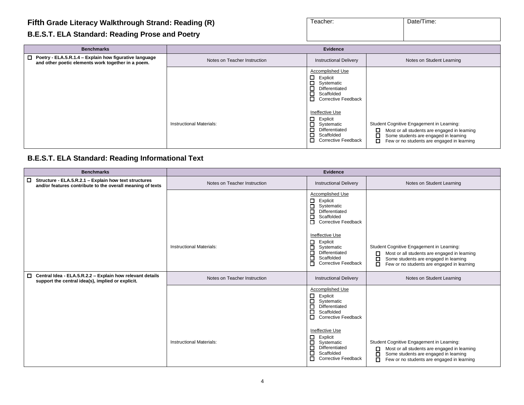#### **Fifth Grade Literacy Walkthrough Strand: Reading (R)**

#### **B.E.S.T. ELA Standard: Reading Prose and Poetry**

| Teacher: | Date/Time: |
|----------|------------|
|          |            |
|          |            |
|          |            |
|          |            |
|          |            |

| <b>Benchmarks</b>                                                                                                   | Evidence                        |                                                                                                                                                           |                                                                                                                                                                                        |
|---------------------------------------------------------------------------------------------------------------------|---------------------------------|-----------------------------------------------------------------------------------------------------------------------------------------------------------|----------------------------------------------------------------------------------------------------------------------------------------------------------------------------------------|
| $\Box$ Poetry - ELA.5.R.1.4 – Explain how figurative language<br>and other poetic elements work together in a poem. | Notes on Teacher Instruction    | <b>Instructional Delivery</b>                                                                                                                             | Notes on Student Learning                                                                                                                                                              |
|                                                                                                                     |                                 | <b>Accomplished Use</b><br>П.<br>Explicit<br>$\Box$<br>Systematic<br>Differentiated<br>$\Box$<br>$\Box$<br>Scaffolded<br>п.<br><b>Corrective Feedback</b> |                                                                                                                                                                                        |
|                                                                                                                     | <b>Instructional Materials:</b> | Ineffective Use<br>Explicit<br>□<br>Systematic<br>Differentiated<br>Scaffolded<br>П.<br><b>Corrective Feedback</b>                                        | Student Cognitive Engagement in Learning:<br>Most or all students are engaged in learning<br>Some students are engaged in learning<br>О.<br>Few or no students are engaged in learning |

#### **B.E.S.T. ELA Standard: Reading Informational Text**

| <b>Benchmarks</b>                                                                                                             | <b>Evidence</b>                 |                                                                                                                                             |                                                                                                                                                                                                 |
|-------------------------------------------------------------------------------------------------------------------------------|---------------------------------|---------------------------------------------------------------------------------------------------------------------------------------------|-------------------------------------------------------------------------------------------------------------------------------------------------------------------------------------------------|
| Structure - ELA.5.R.2.1 - Explain how text structures<br>$\Box$<br>and/or features contribute to the overall meaning of texts | Notes on Teacher Instruction    | <b>Instructional Delivery</b>                                                                                                               | Notes on Student Learning                                                                                                                                                                       |
|                                                                                                                               |                                 | Accomplished Use<br>$\Box$<br>Explicit<br>□<br>Systematic<br>□<br>Differentiated<br>Scaffolded<br>□<br><b>Corrective Feedback</b><br>$\Box$ |                                                                                                                                                                                                 |
|                                                                                                                               | <b>Instructional Materials:</b> | Ineffective Use<br>$\Box$ Explicit<br>Systematic<br>□<br>Differentiated<br>□<br>Scaffolded<br>□<br><b>Corrective Feedback</b><br>O          | Student Cognitive Engagement in Learning:<br>Most or all students are engaged in learning<br>Some students are engaged in learning<br>□<br>П<br>Few or no students are engaged in learning      |
| $\Box$ Central Idea - ELA.5.R.2.2 - Explain how relevant details<br>support the central idea(s), implied or explicit.         | Notes on Teacher Instruction    | <b>Instructional Delivery</b>                                                                                                               | Notes on Student Learning                                                                                                                                                                       |
|                                                                                                                               |                                 | Accomplished Use<br>□<br>Explicit<br>□<br>Systematic<br>◻<br>Differentiated<br>□<br>Scaffolded<br>◻<br><b>Corrective Feedback</b>           |                                                                                                                                                                                                 |
|                                                                                                                               | <b>Instructional Materials:</b> | Ineffective Use<br>0.<br>Explicit<br>□<br>Systematic<br>□<br>Differentiated<br>□<br>Scaffolded<br>п<br><b>Corrective Feedback</b>           | Student Cognitive Engagement in Learning:<br>Most or all students are engaged in learning<br>0<br>Some students are engaged in learning<br>□<br>Few or no students are engaged in learning<br>п |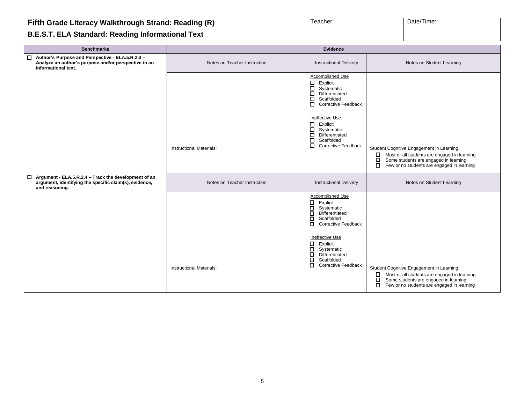# **B.E.S.T. ELA Standard: Reading Informational Text**

| Teacher: | Date/Time: |
|----------|------------|
|          |            |

| <b>Benchmarks</b>                                                                                                                       | Evidence                        |                                                                                                                                                                                                                                                                                                                           |                                                                                                                                                                                                                |
|-----------------------------------------------------------------------------------------------------------------------------------------|---------------------------------|---------------------------------------------------------------------------------------------------------------------------------------------------------------------------------------------------------------------------------------------------------------------------------------------------------------------------|----------------------------------------------------------------------------------------------------------------------------------------------------------------------------------------------------------------|
| □ Author's Purpose and Perspective - ELA.5.R.2.3 -<br>Analyze an author's purpose and/or perspective in an<br>informational text.       | Notes on Teacher Instruction    | <b>Instructional Delivery</b>                                                                                                                                                                                                                                                                                             | Notes on Student Learning                                                                                                                                                                                      |
|                                                                                                                                         | <b>Instructional Materials:</b> | Accomplished Use<br>$\Box$<br>Explicit<br>$\Box$<br>Systematic<br>$\Box$<br>Differentiated<br>$\Box$<br>Scaffolded<br>$\Box$<br><b>Corrective Feedback</b><br><b>Ineffective Use</b><br>Explicit<br>$\Box$<br>$\Box$<br>Systematic<br>$\Box$<br>Differentiated<br>ō<br>Scaffolded<br>$\Box$<br><b>Corrective Feedback</b> | Student Cognitive Engagement in Learning:<br>Most or all students are engaged in learning<br>$\Box$<br>$\Box$<br>Some students are engaged in learning<br>$\Box$<br>Few or no students are engaged in learning |
| $\Box$ Argument - ELA.5.R.2.4 – Track the development of an<br>argument, identifying the specific claim(s), evidence,<br>and reasoning. | Notes on Teacher Instruction    | <b>Instructional Delivery</b>                                                                                                                                                                                                                                                                                             | Notes on Student Learning                                                                                                                                                                                      |
|                                                                                                                                         | <b>Instructional Materials:</b> | <b>Accomplished Use</b><br>$\Box$<br>Explicit<br>$\Box$<br>Systematic<br>$\Box$<br>Differentiated<br>$\Box$<br>Scaffolded<br>$\Box$<br><b>Corrective Feedback</b><br>Ineffective Use<br>Explicit<br>$\Box$<br>$\Box$<br>Systematic<br>$\Box$<br>Differentiated<br>$\Box$<br>Scaffolded<br>О<br><b>Corrective Feedback</b> | Student Cognitive Engagement in Learning:<br>Most or all students are engaged in learning<br>$\Box$<br>Some students are engaged in learning<br>О<br>Few or no students are engaged in learning<br>□           |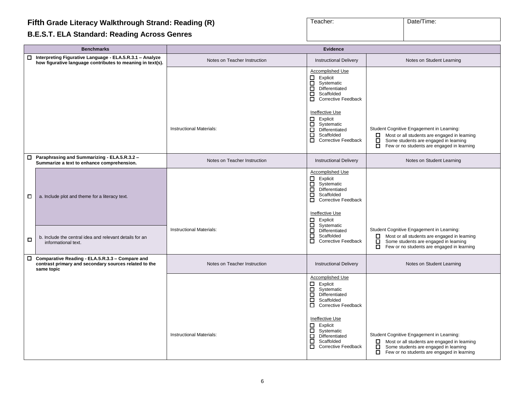#### **Fifth Grade Literacy Walkthrough Strand: Reading (R)**

# **B.E.S.T. ELA Standard: Reading Across Genres**

| Teacher: | Date/Time: |
|----------|------------|
|          |            |

|        | <b>Benchmarks</b>                                                                                                        | <b>Evidence</b>              |                                                                                                                                                                                  |                                                                                                                                                                                                        |
|--------|--------------------------------------------------------------------------------------------------------------------------|------------------------------|----------------------------------------------------------------------------------------------------------------------------------------------------------------------------------|--------------------------------------------------------------------------------------------------------------------------------------------------------------------------------------------------------|
|        | □ Interpreting Figurative Language - ELA.5.R.3.1 - Analyze<br>how figurative language contributes to meaning in text(s). | Notes on Teacher Instruction | <b>Instructional Delivery</b>                                                                                                                                                    | Notes on Student Learning                                                                                                                                                                              |
|        |                                                                                                                          |                              | Accomplished Use<br>Explicit<br>□<br>$\Box$<br>Systematic<br>$\Box$<br>Differentiated<br>$\Box$<br>Scaffolded<br>$\Box$<br><b>Corrective Feedback</b>                            |                                                                                                                                                                                                        |
|        |                                                                                                                          | Instructional Materials:     | Ineffective Use<br>П.<br>Explicit<br>□<br>Systematic<br>$\Box$<br>Differentiated<br>$\Box$<br>Scaffolded<br>$\Box$<br><b>Corrective Feedback</b>                                 | Student Cognitive Engagement in Learning:<br>Most or all students are engaged in learning<br>□<br>Some students are engaged in learning<br>$\Box$<br>Few or no students are engaged in learning        |
|        | □ Paraphrasing and Summarizing - ELA.5.R.3.2 -<br>Summarize a text to enhance comprehension.                             | Notes on Teacher Instruction | <b>Instructional Delivery</b>                                                                                                                                                    | Notes on Student Learning                                                                                                                                                                              |
| □      | a. Include plot and theme for a literacy text.                                                                           |                              | Accomplished Use<br>□<br>Explicit<br>$\Box$<br>Systematic<br>ō<br>Differentiated<br>□<br>Scaffolded<br>$\Box$<br><b>Corrective Feedback</b><br>Ineffective Use<br>Ω.<br>Explicit |                                                                                                                                                                                                        |
| $\Box$ | b. Include the central idea and relevant details for an<br>informational text.                                           | Instructional Materials:     | $\Box$<br>Systematic<br>ō<br>Differentiated<br>$\Box$<br>Scaffolded<br>ō<br><b>Corrective Feedback</b>                                                                           | Student Cognitive Engagement in Learning:<br>$\Box$ Most or all students are engaged in learning<br>□<br>Some students are engaged in learning<br>Few or no students are engaged in learning<br>$\Box$ |
|        | □ Comparative Reading - ELA.5.R.3.3 - Compare and<br>contrast primary and secondary sources related to the<br>same topic | Notes on Teacher Instruction | <b>Instructional Delivery</b>                                                                                                                                                    | Notes on Student Learning                                                                                                                                                                              |
|        |                                                                                                                          |                              | Accomplished Use<br>□<br>Explicit<br>8<br>Systematic<br>Differentiated<br>ō<br>Scaffolded<br>ō<br><b>Corrective Feedback</b>                                                     |                                                                                                                                                                                                        |
|        |                                                                                                                          | Instructional Materials:     | Ineffective Use<br>□<br>Explicit<br>ō<br>Systematic<br>o<br>Differentiated<br>$\Box$<br>Scaffolded<br>$\Box$<br><b>Corrective Feedback</b>                                       | Student Cognitive Engagement in Learning:<br>П.<br>Most or all students are engaged in learning<br>ō<br>Some students are engaged in learning<br>П.<br>Few or no students are engaged in learning      |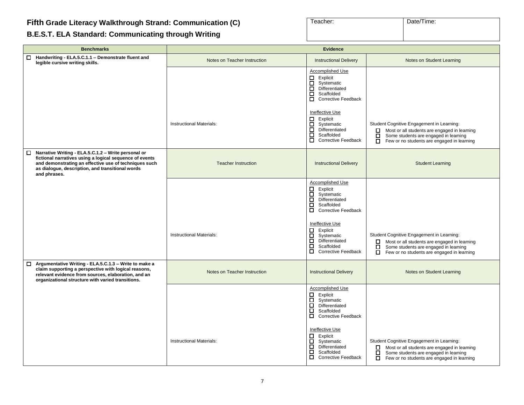# <span id="page-6-0"></span>**B.E.S.T. ELA Standard: Communicating through Writing**

| Teacher: | Date/Time: |
|----------|------------|
|          |            |
|          |            |

| <b>Benchmarks</b>                                                                                                                                                                                                                                  | <b>Evidence</b>                 |                                                                                                                                                                                                                                                                           |                                                                                                                                                                                                           |
|----------------------------------------------------------------------------------------------------------------------------------------------------------------------------------------------------------------------------------------------------|---------------------------------|---------------------------------------------------------------------------------------------------------------------------------------------------------------------------------------------------------------------------------------------------------------------------|-----------------------------------------------------------------------------------------------------------------------------------------------------------------------------------------------------------|
| Handwriting - ELA.5.C.1.1 - Demonstrate fluent and<br>П.<br>legible cursive writing skills.                                                                                                                                                        | Notes on Teacher Instruction    | <b>Instructional Delivery</b>                                                                                                                                                                                                                                             | Notes on Student Learning                                                                                                                                                                                 |
|                                                                                                                                                                                                                                                    |                                 | <b>Accomplished Use</b><br>$\Box$ Explicit<br>□<br>Systematic<br>ō<br>Differentiated<br>□<br>Scaffolded<br>Corrective Feedback                                                                                                                                            |                                                                                                                                                                                                           |
|                                                                                                                                                                                                                                                    | Instructional Materials:        | Ineffective Use<br>$\Box$ Explicit<br>Systematic<br>□<br>Differentiated<br>□<br>Scaffolded<br>П.<br><b>Corrective Feedback</b>                                                                                                                                            | Student Cognitive Engagement in Learning:<br>Most or all students are engaged in learning<br>$\Box$<br>Some students are engaged in learning<br>$\Box$<br>Few or no students are engaged in learning      |
| $\Box$ Narrative Writing - ELA.5.C.1.2 - Write personal or<br>fictional narratives using a logical sequence of events<br>and demonstrating an effective use of techniques such<br>as dialogue, description, and transitional words<br>and phrases. | <b>Teacher Instruction</b>      | <b>Instructional Delivery</b>                                                                                                                                                                                                                                             | <b>Student Learning</b>                                                                                                                                                                                   |
|                                                                                                                                                                                                                                                    | Instructional Materials:        | Accomplished Use<br>□<br>Explicit<br>□<br>Systematic<br>ō<br>Differentiated<br>$\Box$<br>Scaffolded<br>Corrective Feedback<br>Ineffective Use<br>Explicit<br>□<br>$\Box$<br>Systematic<br>Π.<br>Differentiated<br>0<br>Scaffolded<br>$\Box$<br><b>Corrective Feedback</b> | Student Cognitive Engagement in Learning:<br>Most or all students are engaged in learning<br>0<br>$\Box$<br>Some students are engaged in learning<br>$\Box$<br>Few or no students are engaged in learning |
| □ Argumentative Writing - ELA.5.C.1.3 - Write to make a<br>claim supporting a perspective with logical reasons,<br>relevant evidence from sources, elaboration, and an<br>organizational structure with varied transitions.                        | Notes on Teacher Instruction    | <b>Instructional Delivery</b>                                                                                                                                                                                                                                             | Notes on Student Learning                                                                                                                                                                                 |
|                                                                                                                                                                                                                                                    |                                 | Accomplished Use<br>Explicit<br>0.<br>ō<br>Systematic<br>$\Box$<br>Differentiated<br>$\Box$<br>Scaffolded<br>□<br><b>Corrective Feedback</b>                                                                                                                              |                                                                                                                                                                                                           |
|                                                                                                                                                                                                                                                    | <b>Instructional Materials:</b> | Ineffective Use<br>□<br>Explicit<br>□<br>Systematic<br>$\Box$<br>Differentiated<br>□<br>Scaffolded<br>0<br><b>Corrective Feedback</b>                                                                                                                                     | Student Cognitive Engagement in Learning:<br>$\Box$ Most or all students are engaged in learning<br>$\Box$<br>Some students are engaged in learning<br>$\Box$ Few or no students are engaged in learning  |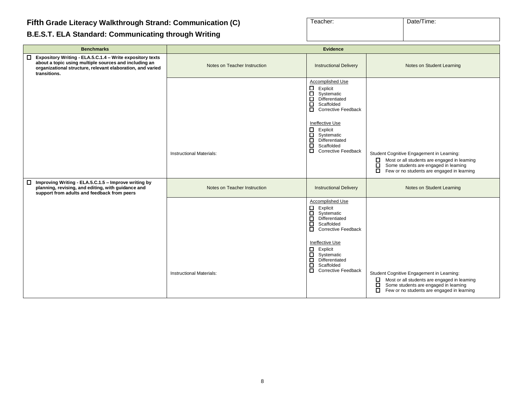#### **B.E.S.T. ELA Standard: Communicating through Writing**

| Teacher: | Date/Time: |  |  |
|----------|------------|--|--|
|          |            |  |  |
|          |            |  |  |

| <b>Benchmarks</b>                                                                                                                                                                                  |                                 | <b>Evidence</b>                                                                                                                                                                                                                                                                                      |                                                                                                                                                                                                      |
|----------------------------------------------------------------------------------------------------------------------------------------------------------------------------------------------------|---------------------------------|------------------------------------------------------------------------------------------------------------------------------------------------------------------------------------------------------------------------------------------------------------------------------------------------------|------------------------------------------------------------------------------------------------------------------------------------------------------------------------------------------------------|
| □ Expository Writing - ELA.5.C.1.4 - Write expository texts<br>about a topic using multiple sources and including an<br>organizational structure, relevant elaboration, and varied<br>transitions. | Notes on Teacher Instruction    | <b>Instructional Delivery</b>                                                                                                                                                                                                                                                                        | Notes on Student Learning                                                                                                                                                                            |
|                                                                                                                                                                                                    | <b>Instructional Materials:</b> | Accomplished Use<br>$\Box$<br>Explicit<br>$\Box$<br>Systematic<br>$\Box$<br>Differentiated<br>ō<br>Scaffolded<br>□ Corrective Feedback<br>Ineffective Use<br>$\mathsf{H}$<br>Explicit<br>Systematic<br>$\Box$<br>Differentiated<br>$\Box$<br>Scaffolded<br>$\Box$<br><b>Corrective Feedback</b>      | Student Cognitive Engagement in Learning:<br>Η<br>Most or all students are engaged in learning<br>Some students are engaged in learning<br>$\Box$<br>Few or no students are engaged in learning      |
| $\Box$ Improving Writing - ELA.5.C.1.5 - Improve writing by<br>planning, revising, and editing, with guidance and<br>support from adults and feedback from peers                                   | Notes on Teacher Instruction    | <b>Instructional Delivery</b>                                                                                                                                                                                                                                                                        | Notes on Student Learning                                                                                                                                                                            |
|                                                                                                                                                                                                    | <b>Instructional Materials:</b> | Accomplished Use<br>□ Explicit<br>□ Systema<br>Systematic<br>$\Box$<br>Differentiated<br>ō<br>Scaffolded<br>$\Box$<br><b>Corrective Feedback</b><br>Ineffective Use<br>$\Box$<br>Explicit<br>□ Systematic<br>□ Differentiate<br>Differentiated<br>ō<br>Scaffolded<br>о<br><b>Corrective Feedback</b> | Student Cognitive Engagement in Learning:<br>Most or all students are engaged in learning<br>$\Box$<br>Some students are engaged in learning<br>□<br>□<br>Few or no students are engaged in learning |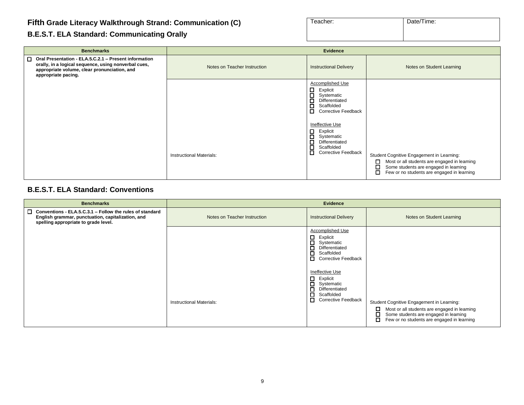#### **B.E.S.T. ELA Standard: Communicating Orally**

| Teacher: | Date/Time: |
|----------|------------|
|          |            |
|          |            |

| <b>Benchmarks</b>                                                                                                                                                                      | <b>Evidence</b>              |                                                                                                                                                                                                                                                                                                                 |                                                                                                                                                                                                         |
|----------------------------------------------------------------------------------------------------------------------------------------------------------------------------------------|------------------------------|-----------------------------------------------------------------------------------------------------------------------------------------------------------------------------------------------------------------------------------------------------------------------------------------------------------------|---------------------------------------------------------------------------------------------------------------------------------------------------------------------------------------------------------|
| □ Oral Presentation - ELA.5.C.2.1 - Present information<br>orally, in a logical sequence, using nonverbal cues,<br>appropriate volume, clear pronunciation, and<br>appropriate pacing. | Notes on Teacher Instruction | <b>Instructional Delivery</b>                                                                                                                                                                                                                                                                                   | Notes on Student Learning                                                                                                                                                                               |
|                                                                                                                                                                                        | Instructional Materials:     | <b>Accomplished Use</b><br>$\Box$<br>Explicit<br>$\Box$<br>Systematic<br>□<br>Differentiated<br>П<br>Scaffolded<br>$\Box$<br><b>Corrective Feedback</b><br>Ineffective Use<br>$\Box$<br>Explicit<br>$\Box$<br>Systematic<br>□<br>Differentiated<br>$\Box$<br>Scaffolded<br>$\Box$<br><b>Corrective Feedback</b> | Student Cognitive Engagement in Learning:<br>□<br>Most or all students are engaged in learning<br>$\overline{a}$<br>Some students are engaged in learning<br>Few or no students are engaged in learning |

#### **B.E.S.T. ELA Standard: Conventions**

| <b>Benchmarks</b>                                                                                                                                            | <b>Evidence</b>                 |                                                                                                                                                                                                                                                                     |                                                                                                                                                                                            |
|--------------------------------------------------------------------------------------------------------------------------------------------------------------|---------------------------------|---------------------------------------------------------------------------------------------------------------------------------------------------------------------------------------------------------------------------------------------------------------------|--------------------------------------------------------------------------------------------------------------------------------------------------------------------------------------------|
| $\Box$ Conventions - ELA.5.C.3.1 - Follow the rules of standard<br>English grammar, punctuation, capitalization, and<br>spelling appropriate to grade level. | Notes on Teacher Instruction    | <b>Instructional Delivery</b>                                                                                                                                                                                                                                       | Notes on Student Learning                                                                                                                                                                  |
|                                                                                                                                                              | <b>Instructional Materials:</b> | Accomplished Use<br>$\Box$ Explicit<br>П<br>Systematic<br>П<br>Differentiated<br>П<br>Scaffolded<br>Corrective Feedback<br>Ineffective Use<br>$\Box$ Explicit<br>$\Box$<br>Systematic<br>о<br>Differentiated<br>П<br>Scaffolded<br>О.<br><b>Corrective Feedback</b> | Student Cognitive Engagement in Learning:<br>Most or all students are engaged in learning<br>□<br>Some students are engaged in learning<br>о<br>Few or no students are engaged in learning |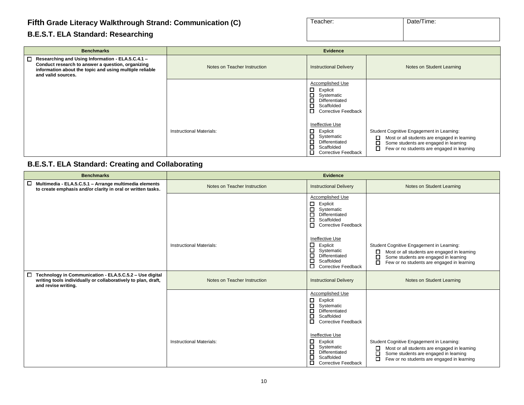#### **B.E.S.T. ELA Standard: Researching**

| Teacher: | Date/Time: |  |
|----------|------------|--|
|          |            |  |
|          |            |  |

| <b>Benchmarks</b>                                                                                                                                                                         | Evidence                     |                                                                                                                                                         |                                                                                                                                                                                                      |
|-------------------------------------------------------------------------------------------------------------------------------------------------------------------------------------------|------------------------------|---------------------------------------------------------------------------------------------------------------------------------------------------------|------------------------------------------------------------------------------------------------------------------------------------------------------------------------------------------------------|
| □ Researching and Using Information - ELA.5.C.4.1 -<br>Conduct research to answer a question, organizing<br>information about the topic and using multiple reliable<br>and valid sources. | Notes on Teacher Instruction | <b>Instructional Delivery</b>                                                                                                                           | Notes on Student Learning                                                                                                                                                                            |
|                                                                                                                                                                                           |                              | <b>Accomplished Use</b><br>$\Box$<br>Explicit<br>□<br>Systematic<br>$\Box$<br>Differentiated<br>□<br>Scaffolded<br>$\Box$<br><b>Corrective Feedback</b> |                                                                                                                                                                                                      |
|                                                                                                                                                                                           | Instructional Materials:     | Ineffective Use<br>$\Box$<br>Explicit<br>$\Box$<br>Systematic<br>$\Box$<br>Differentiated<br>□<br>Scaffolded<br>□<br><b>Corrective Feedback</b>         | Student Cognitive Engagement in Learning:<br>□<br>Most or all students are engaged in learning<br>$\Box$<br>Some students are engaged in learning<br>О<br>Few or no students are engaged in learning |

#### **B.E.S.T. ELA Standard: Creating and Collaborating**

| <b>Benchmarks</b>                                                                                                                                         |                                 | <b>Evidence</b>                                                                                                                                                                                                                                                       |                                                                                                                                                                                                 |
|-----------------------------------------------------------------------------------------------------------------------------------------------------------|---------------------------------|-----------------------------------------------------------------------------------------------------------------------------------------------------------------------------------------------------------------------------------------------------------------------|-------------------------------------------------------------------------------------------------------------------------------------------------------------------------------------------------|
| 0<br>Multimedia - ELA.5.C.5.1 - Arrange multimedia elements<br>to create emphasis and/or clarity in oral or written tasks.                                | Notes on Teacher Instruction    | <b>Instructional Delivery</b>                                                                                                                                                                                                                                         | Notes on Student Learning                                                                                                                                                                       |
|                                                                                                                                                           |                                 | Accomplished Use<br>□<br>Explicit<br>◻<br>Systematic<br>Differentiated<br>□<br>□<br>Scaffolded<br>□<br><b>Corrective Feedback</b>                                                                                                                                     |                                                                                                                                                                                                 |
|                                                                                                                                                           | Instructional Materials:        | Ineffective Use<br>□<br>Explicit<br>□<br>Systematic<br>◻<br>Differentiated<br>⊏<br>Scaffolded<br>□<br>Corrective Feedback                                                                                                                                             | Student Cognitive Engagement in Learning:<br>□<br>Most or all students are engaged in learning<br>□<br>Some students are engaged in learning<br>о<br>Few or no students are engaged in learning |
| Technology in Communication - ELA.5.C.5.2 - Use digital<br>$\Box$<br>writing tools individually or collaboratively to plan, draft,<br>and revise writing. | Notes on Teacher Instruction    | <b>Instructional Delivery</b>                                                                                                                                                                                                                                         | Notes on Student Learning                                                                                                                                                                       |
|                                                                                                                                                           | <b>Instructional Materials:</b> | Accomplished Use<br>◻<br>Explicit<br>□<br>Systematic<br>□<br>Differentiated<br>Е<br>Scaffolded<br>□<br><b>Corrective Feedback</b><br>Ineffective Use<br>□<br>Explicit<br>◻<br>Systematic<br>Differentiated<br>□<br>⊏<br>Scaffolded<br>□<br><b>Corrective Feedback</b> | Student Cognitive Engagement in Learning:<br>Most or all students are engaged in learning<br>□<br>□<br>Some students are engaged in learning<br>□<br>Few or no students are engaged in learning |